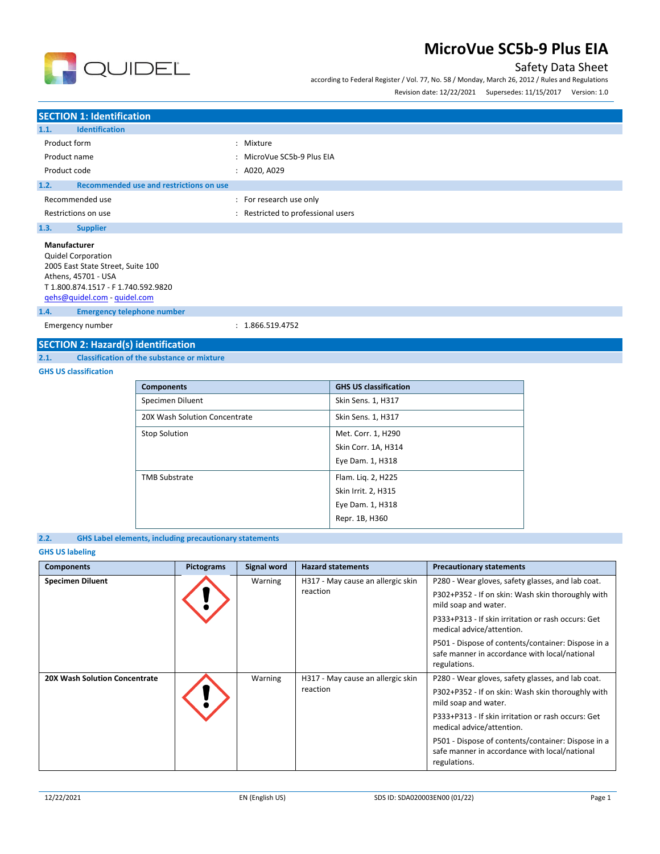

## Safety Data Sheet

according to Federal Register / Vol. 77, No. 58 / Monday, March 26, 2012 / Rules and Regulations Revision date: 12/22/2021 Supersedes: 11/15/2017 Version: 1.0

## **SECTION 1: Identification 1.1. Identification** Product form  $\qquad \qquad : \qquad$  Mixture Product name  $\qquad \qquad : \qquad$  MicroVue SC5b-9 Plus EIA Product code : A020, A029 **1.2. Recommended use and restrictions on use** Recommended use  $\blacksquare$ : For research use only Restrictions on use **interest in the COV** and Restricted to professional users **1.3. Supplier Manufacturer** Quidel Corporation 2005 East State Street, Suite 100 Athens, 45701 - USA T 1.800.874.1517 - F 1.740.592.9820 [qehs@quidel.com](mailto:qehs@quidel.com) - [quidel.com](http://quidel.com/)

**1.4. Emergency telephone number**

Emergency number : 1.866.519.4752

### **SECTION 2: Hazard(s) identification**

**2.1. Classification of the substance or mixture**

### **GHS US classification**

| <b>Components</b>             | <b>GHS US classification</b> |
|-------------------------------|------------------------------|
| Specimen Diluent              | Skin Sens. 1, H317           |
| 20X Wash Solution Concentrate | Skin Sens. 1, H317           |
| <b>Stop Solution</b>          | Met. Corr. 1, H290           |
|                               | Skin Corr. 1A, H314          |
|                               | Eye Dam. 1, H318             |
| <b>TMB Substrate</b>          | Flam. Lig. 2, H225           |
|                               | Skin Irrit. 2, H315          |
|                               | Eye Dam. 1, H318             |
|                               | Repr. 1B, H360               |

### **2.2. GHS Label elements, including precautionary statements**

### **GHS US labeling**

| <b>Components</b>                    | Pictograms | Signal word | <b>Hazard statements</b>          | <b>Precautionary statements</b>                                                                                     |
|--------------------------------------|------------|-------------|-----------------------------------|---------------------------------------------------------------------------------------------------------------------|
| <b>Specimen Diluent</b>              |            | Warning     | H317 - May cause an allergic skin | P280 - Wear gloves, safety glasses, and lab coat.                                                                   |
|                                      |            |             | reaction                          | P302+P352 - If on skin: Wash skin thoroughly with<br>mild soap and water.                                           |
|                                      |            |             |                                   | P333+P313 - If skin irritation or rash occurs: Get<br>medical advice/attention.                                     |
|                                      |            |             |                                   | P501 - Dispose of contents/container: Dispose in a<br>safe manner in accordance with local/national<br>regulations. |
| <b>20X Wash Solution Concentrate</b> |            | Warning     | H317 - May cause an allergic skin | P280 - Wear gloves, safety glasses, and lab coat.                                                                   |
|                                      |            |             | reaction                          | P302+P352 - If on skin: Wash skin thoroughly with<br>mild soap and water.                                           |
|                                      |            |             |                                   | P333+P313 - If skin irritation or rash occurs: Get<br>medical advice/attention.                                     |
|                                      |            |             |                                   | P501 - Dispose of contents/container: Dispose in a<br>safe manner in accordance with local/national<br>regulations. |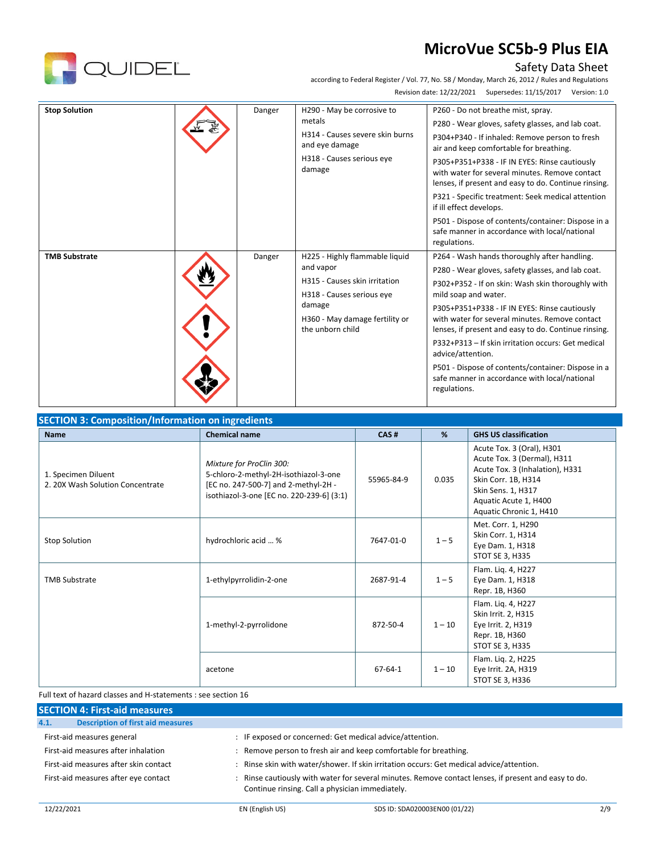

## Safety Data Sheet

according to Federal Register / Vol. 77, No. 58 / Monday, March 26, 2012 / Rules and Regulations Revision date: 12/22/2021 Supersedes: 11/15/2017 Version: 1.0

| <b>Stop Solution</b> | Danger | H290 - May be corrosive to<br>metals<br>H314 - Causes severe skin burns<br>and eye damage<br>H318 - Causes serious eye<br>damage                                          | P260 - Do not breathe mist, spray.<br>P280 - Wear gloves, safety glasses, and lab coat.<br>P304+P340 - If inhaled: Remove person to fresh<br>air and keep comfortable for breathing.<br>P305+P351+P338 - IF IN EYES: Rinse cautiously<br>with water for several minutes. Remove contact<br>lenses, if present and easy to do. Continue rinsing.<br>P321 - Specific treatment: Seek medical attention<br>if ill effect develops.<br>P501 - Dispose of contents/container: Dispose in a<br>safe manner in accordance with local/national<br>regulations. |
|----------------------|--------|---------------------------------------------------------------------------------------------------------------------------------------------------------------------------|--------------------------------------------------------------------------------------------------------------------------------------------------------------------------------------------------------------------------------------------------------------------------------------------------------------------------------------------------------------------------------------------------------------------------------------------------------------------------------------------------------------------------------------------------------|
| <b>TMB Substrate</b> | Danger | H225 - Highly flammable liquid<br>and vapor<br>H315 - Causes skin irritation<br>H318 - Causes serious eye<br>damage<br>H360 - May damage fertility or<br>the unborn child | P264 - Wash hands thoroughly after handling.<br>P280 - Wear gloves, safety glasses, and lab coat.<br>P302+P352 - If on skin: Wash skin thoroughly with<br>mild soap and water.<br>P305+P351+P338 - IF IN EYES: Rinse cautiously<br>with water for several minutes. Remove contact<br>lenses, if present and easy to do. Continue rinsing.<br>P332+P313 - If skin irritation occurs: Get medical<br>advice/attention.<br>P501 - Dispose of contents/container: Dispose in a<br>safe manner in accordance with local/national<br>regulations.            |

| <b>SECTION 3: Composition/Information on ingredients</b> |                                                                                                                                                        |               |          |                                                                                                                                                                                              |
|----------------------------------------------------------|--------------------------------------------------------------------------------------------------------------------------------------------------------|---------------|----------|----------------------------------------------------------------------------------------------------------------------------------------------------------------------------------------------|
| <b>Name</b>                                              | <b>Chemical name</b>                                                                                                                                   | CAS#          | %        | <b>GHS US classification</b>                                                                                                                                                                 |
| 1. Specimen Diluent<br>2. 20X Wash Solution Concentrate  | Mixture for ProClin 300:<br>5-chloro-2-methyl-2H-isothiazol-3-one<br>[EC no. 247-500-7] and 2-methyl-2H -<br>isothiazol-3-one [EC no. 220-239-6] (3:1) | 55965-84-9    | 0.035    | Acute Tox. 3 (Oral), H301<br>Acute Tox. 3 (Dermal), H311<br>Acute Tox. 3 (Inhalation), H331<br>Skin Corr. 1B, H314<br>Skin Sens. 1, H317<br>Aquatic Acute 1, H400<br>Aquatic Chronic 1, H410 |
| <b>Stop Solution</b>                                     | hydrochloric acid  %                                                                                                                                   | 7647-01-0     | $1 - 5$  | Met. Corr. 1, H290<br>Skin Corr. 1, H314<br>Eye Dam. 1, H318<br>STOT SE 3, H335                                                                                                              |
| <b>TMB Substrate</b>                                     | 1-ethylpyrrolidin-2-one                                                                                                                                | 2687-91-4     | $1 - 5$  | Flam. Lig. 4, H227<br>Eye Dam. 1, H318<br>Repr. 1B, H360                                                                                                                                     |
|                                                          | 1-methyl-2-pyrrolidone                                                                                                                                 | 872-50-4      | $1 - 10$ | Flam. Liq. 4, H227<br>Skin Irrit. 2, H315<br>Eye Irrit. 2, H319<br>Repr. 1B, H360<br>STOT SE 3, H335                                                                                         |
|                                                          | acetone                                                                                                                                                | $67 - 64 - 1$ | $1 - 10$ | Flam. Liq. 2, H225<br>Eye Irrit. 2A, H319<br>STOT SE 3, H336                                                                                                                                 |

### Full text of hazard classes and H-statements : see section 16

| <b>SECTION 4: First-aid measures</b>             |                                                                                                                                                         |  |  |  |
|--------------------------------------------------|---------------------------------------------------------------------------------------------------------------------------------------------------------|--|--|--|
| <b>Description of first aid measures</b><br>4.1. |                                                                                                                                                         |  |  |  |
| First-aid measures general                       | : IF exposed or concerned: Get medical advice/attention.                                                                                                |  |  |  |
| First-aid measures after inhalation              | : Remove person to fresh air and keep comfortable for breathing.                                                                                        |  |  |  |
| First-aid measures after skin contact            | Rinse skin with water/shower. If skin irritation occurs: Get medical advice/attention.                                                                  |  |  |  |
| First-aid measures after eye contact             | : Rinse cautiously with water for several minutes. Remove contact lenses, if present and easy to do.<br>Continue rinsing. Call a physician immediately. |  |  |  |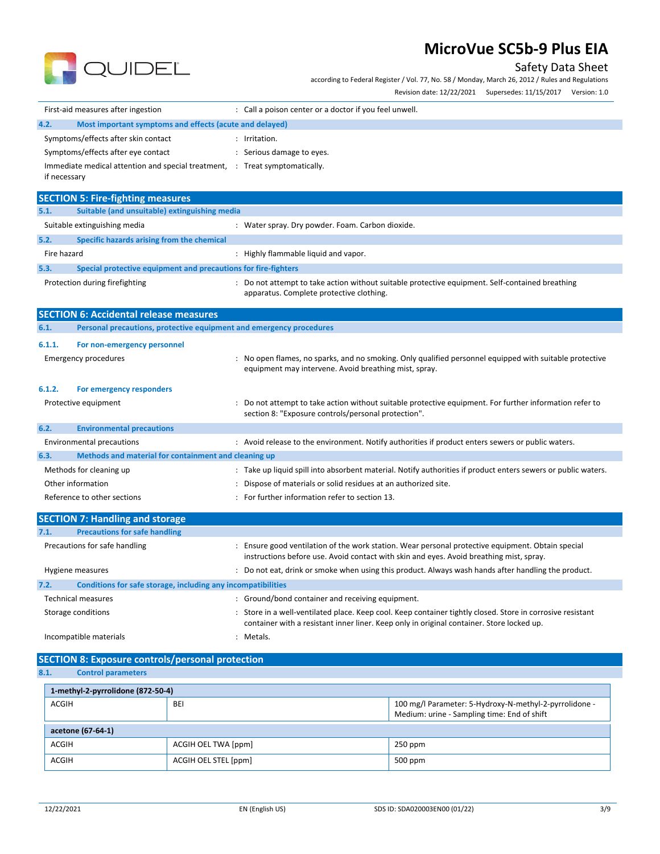

Safety Data Sheet

according to Federal Register / Vol. 77, No. 58 / Monday, March 26, 2012 / Rules and Regulations

Revision date: 12/22/2021 Supersedes: 11/15/2017 Version: 1.0

| First-aid measures after ingestion                                          | : Call a poison center or a doctor if you feel unwell.                                                                                                                                                  |
|-----------------------------------------------------------------------------|---------------------------------------------------------------------------------------------------------------------------------------------------------------------------------------------------------|
| 4.2.<br>Most important symptoms and effects (acute and delayed)             |                                                                                                                                                                                                         |
| Symptoms/effects after skin contact                                         | : Irritation.                                                                                                                                                                                           |
| Symptoms/effects after eye contact                                          | : Serious damage to eyes.                                                                                                                                                                               |
| Immediate medical attention and special treatment, : Treat symptomatically. |                                                                                                                                                                                                         |
| if necessary                                                                |                                                                                                                                                                                                         |
| <b>SECTION 5: Fire-fighting measures</b>                                    |                                                                                                                                                                                                         |
| 5.1.<br>Suitable (and unsuitable) extinguishing media                       |                                                                                                                                                                                                         |
| Suitable extinguishing media                                                | : Water spray. Dry powder. Foam. Carbon dioxide.                                                                                                                                                        |
| 5.2.<br>Specific hazards arising from the chemical                          |                                                                                                                                                                                                         |
| Fire hazard                                                                 | : Highly flammable liquid and vapor.                                                                                                                                                                    |
| 5.3.<br>Special protective equipment and precautions for fire-fighters      |                                                                                                                                                                                                         |
| Protection during firefighting                                              | : Do not attempt to take action without suitable protective equipment. Self-contained breathing<br>apparatus. Complete protective clothing.                                                             |
| <b>SECTION 6: Accidental release measures</b>                               |                                                                                                                                                                                                         |
| 6.1.<br>Personal precautions, protective equipment and emergency procedures |                                                                                                                                                                                                         |
| 6.1.1.<br>For non-emergency personnel                                       |                                                                                                                                                                                                         |
| Emergency procedures                                                        | : No open flames, no sparks, and no smoking. Only qualified personnel equipped with suitable protective<br>equipment may intervene. Avoid breathing mist, spray.                                        |
| 6.1.2.<br>For emergency responders                                          |                                                                                                                                                                                                         |
| Protective equipment                                                        | Do not attempt to take action without suitable protective equipment. For further information refer to :<br>section 8: "Exposure controls/personal protection".                                          |
| 6.2.<br><b>Environmental precautions</b>                                    |                                                                                                                                                                                                         |
| <b>Environmental precautions</b>                                            | : Avoid release to the environment. Notify authorities if product enters sewers or public waters.                                                                                                       |
| Methods and material for containment and cleaning up<br>6.3.                |                                                                                                                                                                                                         |
| Methods for cleaning up                                                     | : Take up liquid spill into absorbent material. Notify authorities if product enters sewers or public waters.                                                                                           |
| Other information                                                           | : Dispose of materials or solid residues at an authorized site.                                                                                                                                         |
| Reference to other sections                                                 | : For further information refer to section 13.                                                                                                                                                          |
| <b>SECTION 7: Handling and storage</b>                                      |                                                                                                                                                                                                         |
| 7.1.<br><b>Precautions for safe handling</b>                                |                                                                                                                                                                                                         |
| Precautions for safe handling                                               | : Ensure good ventilation of the work station. Wear personal protective equipment. Obtain special<br>instructions before use. Avoid contact with skin and eyes. Avoid breathing mist, spray.            |
| Hygiene measures                                                            | : Do not eat, drink or smoke when using this product. Always wash hands after handling the product.                                                                                                     |
| Conditions for safe storage, including any incompatibilities<br>7.2.        |                                                                                                                                                                                                         |
| <b>Technical measures</b>                                                   | : Ground/bond container and receiving equipment.                                                                                                                                                        |
| Storage conditions                                                          | : Store in a well-ventilated place. Keep cool. Keep container tightly closed. Store in corrosive resistant<br>container with a resistant inner liner. Keep only in original container. Store locked up. |
| Incompatible materials                                                      | : Metals.                                                                                                                                                                                               |
| <b>SECTION 8: Exposure controls/personal protection</b>                     |                                                                                                                                                                                                         |
| 8.1.<br><b>Control parameters</b>                                           |                                                                                                                                                                                                         |
| 1-methyl-2-pyrrolidone (872-50-4)                                           |                                                                                                                                                                                                         |
| $\sim$                                                                      |                                                                                                                                                                                                         |

| ACGIH             | <b>BEI</b>           | 100 mg/l Parameter: 5-Hydroxy-N-methyl-2-pyrrolidone -<br>Medium: urine - Sampling time: End of shift |
|-------------------|----------------------|-------------------------------------------------------------------------------------------------------|
| acetone (67-64-1) |                      |                                                                                                       |
| ACGIH             | ACGIH OEL TWA [ppm]  | $250$ ppm                                                                                             |
| ACGIH             | ACGIH OEL STEL [ppm] | $500$ ppm                                                                                             |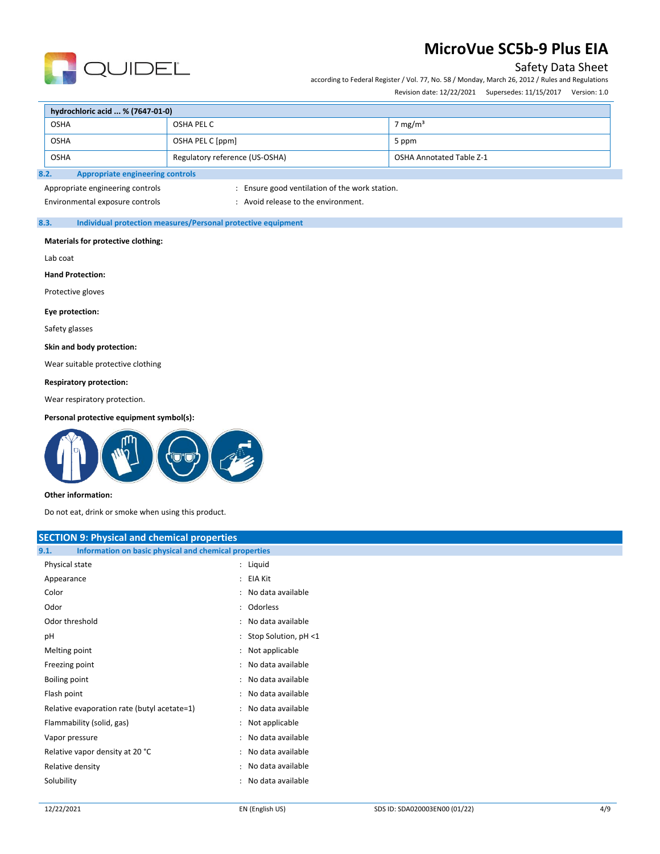

## Safety Data Sheet

according to Federal Register / Vol. 77, No. 58 / Monday, March 26, 2012 / Rules and Regulations Revision date: 12/22/2021 Supersedes: 11/15/2017 Version: 1.0

| hydrochloric acid  % (7647-01-0)                |                                |                                 |  |
|-------------------------------------------------|--------------------------------|---------------------------------|--|
| <b>OSHA</b>                                     | OSHA PEL C                     | 7 mg/m <sup>3</sup>             |  |
| <b>OSHA</b>                                     | OSHA PEL C [ppm]               | 5 ppm                           |  |
| <b>OSHA</b>                                     | Regulatory reference (US-OSHA) | <b>OSHA Annotated Table Z-1</b> |  |
| 8.2.<br><b>Appropriate engineering controls</b> |                                |                                 |  |

## Appropriate engineering controls : Ensure good ventilation of the work station.

Environmental exposure controls example to the environment.

### **8.3. Individual protection measures/Personal protective equipment**

#### **Materials for protective clothing:**

Lab coat

**Hand Protection:**

Protective gloves

#### **Eye protection:**

Safety glasses

#### **Skin and body protection:**

Wear suitable protective clothing

#### **Respiratory protection:**

Wear respiratory protection.

#### **Personal protective equipment symbol(s):**



#### **Other information:**

Do not eat, drink or smoke when using this product.

| <b>SECTION 9: Physical and chemical properties</b>            |                        |  |  |
|---------------------------------------------------------------|------------------------|--|--|
| Information on basic physical and chemical properties<br>9.1. |                        |  |  |
| Physical state                                                | : Liquid               |  |  |
| Appearance                                                    | : EIA Kit              |  |  |
| Color                                                         | : No data available    |  |  |
| Odor                                                          | : Odorless             |  |  |
| Odor threshold                                                | : No data available    |  |  |
| pH                                                            | : Stop Solution, pH <1 |  |  |
| Melting point                                                 | : Not applicable       |  |  |
| Freezing point                                                | : No data available    |  |  |
| Boiling point                                                 | : No data available    |  |  |
| Flash point                                                   | : No data available    |  |  |
| Relative evaporation rate (butyl acetate=1)                   | : No data available    |  |  |
| Flammability (solid, gas)                                     | : Not applicable       |  |  |
| Vapor pressure                                                | : No data available    |  |  |
| Relative vapor density at 20 °C                               | : No data available    |  |  |
| Relative density                                              | : No data available    |  |  |
| Solubility                                                    | : No data available    |  |  |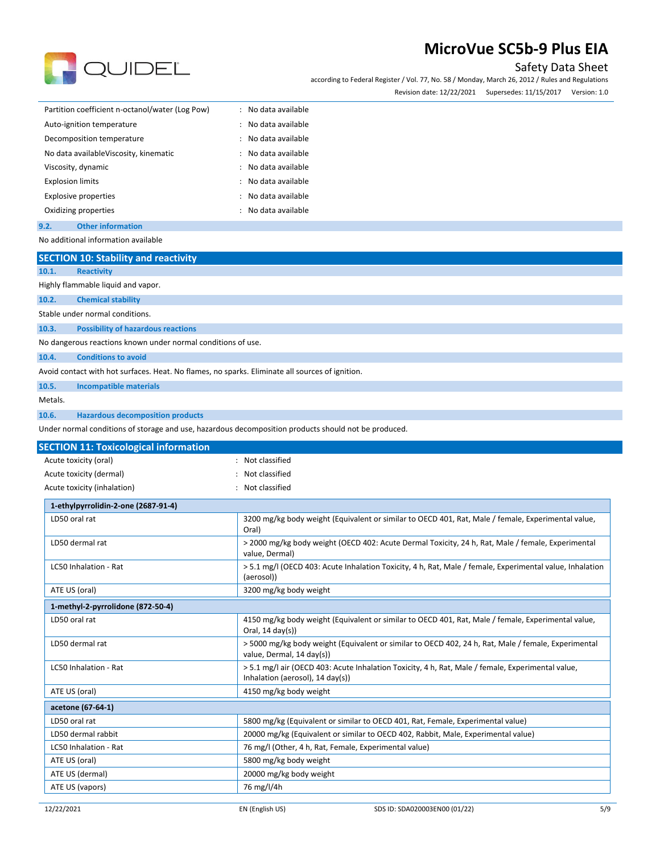

Safety Data Sheet

according to Federal Register / Vol. 77, No. 58 / Monday, March 26, 2012 / Rules and Regulations Revision date: 12/22/2021 Supersedes: 11/15/2017 Version: 1.0

| Partition coefficient n-octanol/water (Log Pow) | No data available<br>۰. |
|-------------------------------------------------|-------------------------|
| Auto-ignition temperature                       | : No data available     |
| Decomposition temperature                       | No data available       |
| No data availableViscosity, kinematic           | No data available       |
| Viscosity, dynamic                              | No data available       |
| <b>Explosion limits</b>                         | No data available<br>÷. |
| <b>Explosive properties</b>                     | No data available<br>÷. |
| Oxidizing properties                            | No data available       |
| Other information<br>9.2.                       |                         |

No additional information available

| <b>SECTION 10: Stability and reactivity</b>                                                          |                                                                                                                                       |
|------------------------------------------------------------------------------------------------------|---------------------------------------------------------------------------------------------------------------------------------------|
| 10.1.<br><b>Reactivity</b>                                                                           |                                                                                                                                       |
| Highly flammable liquid and vapor.                                                                   |                                                                                                                                       |
| 10.2.<br><b>Chemical stability</b>                                                                   |                                                                                                                                       |
| Stable under normal conditions.                                                                      |                                                                                                                                       |
| 10.3.<br><b>Possibility of hazardous reactions</b>                                                   |                                                                                                                                       |
| No dangerous reactions known under normal conditions of use.                                         |                                                                                                                                       |
| <b>Conditions to avoid</b><br>10.4.                                                                  |                                                                                                                                       |
| Avoid contact with hot surfaces. Heat. No flames, no sparks. Eliminate all sources of ignition.      |                                                                                                                                       |
| 10.5.<br><b>Incompatible materials</b>                                                               |                                                                                                                                       |
| Metals.                                                                                              |                                                                                                                                       |
| 10.6.<br><b>Hazardous decomposition products</b>                                                     |                                                                                                                                       |
| Under normal conditions of storage and use, hazardous decomposition products should not be produced. |                                                                                                                                       |
| <b>SECTION 11: Toxicological information</b>                                                         |                                                                                                                                       |
| Acute toxicity (oral)                                                                                | : Not classified                                                                                                                      |
| Acute toxicity (dermal)                                                                              | Not classified                                                                                                                        |
| Acute toxicity (inhalation)                                                                          | : Not classified                                                                                                                      |
| 1-ethylpyrrolidin-2-one (2687-91-4)                                                                  |                                                                                                                                       |
| LD50 oral rat                                                                                        | 3200 mg/kg body weight (Equivalent or similar to OECD 401, Rat, Male / female, Experimental value,<br>Oral)                           |
| LD50 dermal rat                                                                                      | > 2000 mg/kg body weight (OECD 402: Acute Dermal Toxicity, 24 h, Rat, Male / female, Experimental<br>value, Dermal)                   |
| LC50 Inhalation - Rat                                                                                | > 5.1 mg/l (OECD 403: Acute Inhalation Toxicity, 4 h, Rat, Male / female, Experimental value, Inhalation<br>(aerosol))                |
| ATE US (oral)                                                                                        | 3200 mg/kg body weight                                                                                                                |
| 1-methyl-2-pyrrolidone (872-50-4)                                                                    |                                                                                                                                       |
| LD50 oral rat                                                                                        | 4150 mg/kg body weight (Equivalent or similar to OECD 401, Rat, Male / female, Experimental value,<br>Oral, 14 day(s))                |
| LD50 dermal rat                                                                                      | > 5000 mg/kg body weight (Equivalent or similar to OECD 402, 24 h, Rat, Male / female, Experimental<br>value, Dermal, 14 day(s))      |
| LC50 Inhalation - Rat                                                                                | > 5.1 mg/l air (OECD 403: Acute Inhalation Toxicity, 4 h, Rat, Male / female, Experimental value,<br>Inhalation (aerosol), 14 day(s)) |
| ATE US (oral)                                                                                        | 4150 mg/kg body weight                                                                                                                |
| acetone (67-64-1)                                                                                    |                                                                                                                                       |
| LD50 oral rat                                                                                        | 5800 mg/kg (Equivalent or similar to OECD 401, Rat, Female, Experimental value)                                                       |
| LD50 dermal rabbit                                                                                   | 20000 mg/kg (Equivalent or similar to OECD 402, Rabbit, Male, Experimental value)                                                     |
| LC50 Inhalation - Rat                                                                                | 76 mg/l (Other, 4 h, Rat, Female, Experimental value)                                                                                 |
| ATE US (oral)                                                                                        | 5800 mg/kg body weight                                                                                                                |
| ATE US (dermal)                                                                                      | 20000 mg/kg body weight                                                                                                               |
| ATE US (vapors)                                                                                      | 76 mg/l/4h                                                                                                                            |
|                                                                                                      |                                                                                                                                       |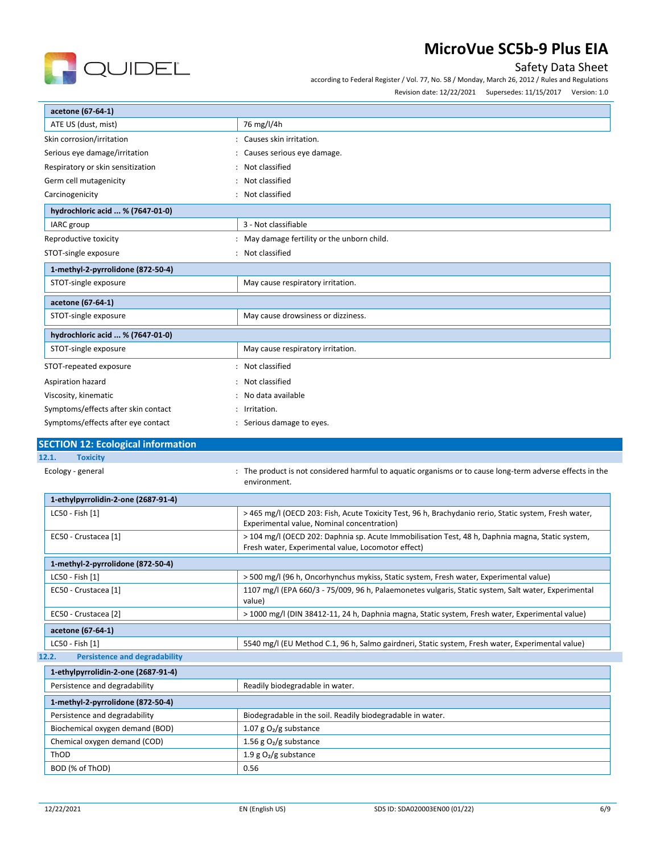

## Safety Data Sheet

according to Federal Register / Vol. 77, No. 58 / Monday, March 26, 2012 / Rules and Regulations

Revision date: 12/22/2021 Supersedes: 11/15/2017 Version: 1.0

| acetone (67-64-1)                                  |                                                                                                                                                        |
|----------------------------------------------------|--------------------------------------------------------------------------------------------------------------------------------------------------------|
| ATE US (dust, mist)                                | 76 mg/l/4h                                                                                                                                             |
| Skin corrosion/irritation                          | : Causes skin irritation.                                                                                                                              |
| Serious eye damage/irritation                      | : Causes serious eye damage.                                                                                                                           |
| Respiratory or skin sensitization                  | : Not classified                                                                                                                                       |
| Germ cell mutagenicity                             | : Not classified                                                                                                                                       |
| Carcinogenicity                                    | : Not classified                                                                                                                                       |
| hydrochloric acid  % (7647-01-0)                   |                                                                                                                                                        |
| IARC group                                         | 3 - Not classifiable                                                                                                                                   |
| Reproductive toxicity                              | : May damage fertility or the unborn child.                                                                                                            |
| STOT-single exposure                               | : Not classified                                                                                                                                       |
| 1-methyl-2-pyrrolidone (872-50-4)                  |                                                                                                                                                        |
| STOT-single exposure                               | May cause respiratory irritation.                                                                                                                      |
| acetone (67-64-1)                                  |                                                                                                                                                        |
| STOT-single exposure                               | May cause drowsiness or dizziness.                                                                                                                     |
| hydrochloric acid  % (7647-01-0)                   |                                                                                                                                                        |
| STOT-single exposure                               | May cause respiratory irritation.                                                                                                                      |
| STOT-repeated exposure                             | : Not classified                                                                                                                                       |
| Aspiration hazard                                  | : Not classified                                                                                                                                       |
| Viscosity, kinematic                               | : No data available                                                                                                                                    |
| Symptoms/effects after skin contact                | : Irritation.                                                                                                                                          |
| Symptoms/effects after eye contact                 | : Serious damage to eyes.                                                                                                                              |
|                                                    |                                                                                                                                                        |
| <b>SECTION 12: Ecological information</b><br>12.1. |                                                                                                                                                        |
| <b>Toxicity</b><br>Ecology - general               | The product is not considered harmful to aquatic organisms or to cause long-term adverse effects in the                                                |
|                                                    | environment.                                                                                                                                           |
| 1-ethylpyrrolidin-2-one (2687-91-4)                |                                                                                                                                                        |
| LC50 - Fish [1]                                    | > 465 mg/l (OECD 203: Fish, Acute Toxicity Test, 96 h, Brachydanio rerio, Static system, Fresh water,<br>Experimental value, Nominal concentration)    |
| EC50 - Crustacea [1]                               | > 104 mg/l (OECD 202: Daphnia sp. Acute Immobilisation Test, 48 h, Daphnia magna, Static system,<br>Fresh water, Experimental value, Locomotor effect) |
| 1-methyl-2-pyrrolidone (872-50-4)                  |                                                                                                                                                        |
| LC50 - Fish [1]                                    | > 500 mg/l (96 h, Oncorhynchus mykiss, Static system, Fresh water, Experimental value)                                                                 |
| EC50 - Crustacea [1]                               | 1107 mg/l (EPA 660/3 - 75/009, 96 h, Palaemonetes vulgaris, Static system, Salt water, Experimental<br>value)                                          |
| EC50 - Crustacea [2]                               | > 1000 mg/l (DIN 38412-11, 24 h, Daphnia magna, Static system, Fresh water, Experimental value)                                                        |
| acetone (67-64-1)                                  |                                                                                                                                                        |
| LC50 - Fish [1]                                    | 5540 mg/l (EU Method C.1, 96 h, Salmo gairdneri, Static system, Fresh water, Experimental value)                                                       |
| <b>Persistence and degradability</b><br>12.2.      |                                                                                                                                                        |
| $1$ -athylnyrrolidin-2-one (2687-91-4)             |                                                                                                                                                        |

| 1-ethylpyrrolidin-2-one (2687-91-4) |                                                            |  |  |
|-------------------------------------|------------------------------------------------------------|--|--|
| Persistence and degradability       | Readily biodegradable in water.                            |  |  |
| 1-methyl-2-pyrrolidone (872-50-4)   |                                                            |  |  |
| Persistence and degradability       | Biodegradable in the soil. Readily biodegradable in water. |  |  |
| Biochemical oxygen demand (BOD)     | 1.07 g $O_2/g$ substance                                   |  |  |
| Chemical oxygen demand (COD)        | 1.56 g $O_2/g$ substance                                   |  |  |
| ThOD                                | 1.9 g $O_2/g$ substance                                    |  |  |
| BOD (% of ThOD)                     | 0.56                                                       |  |  |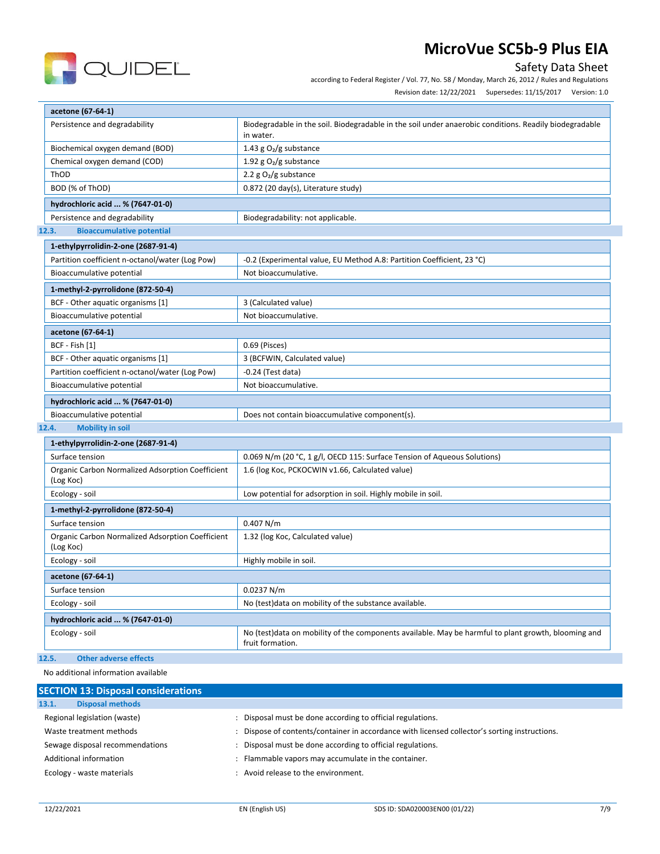

## Safety Data Sheet

according to Federal Register / Vol. 77, No. 58 / Monday, March 26, 2012 / Rules and Regulations

Revision date: 12/22/2021 Supersedes: 11/15/2017 Version: 1.0

| acetone (67-64-1)                                                  |                                                                                                                     |  |  |  |
|--------------------------------------------------------------------|---------------------------------------------------------------------------------------------------------------------|--|--|--|
| Persistence and degradability                                      | Biodegradable in the soil. Biodegradable in the soil under anaerobic conditions. Readily biodegradable<br>in water. |  |  |  |
| Biochemical oxygen demand (BOD)<br>1.43 g $O_2/g$ substance        |                                                                                                                     |  |  |  |
| Chemical oxygen demand (COD)                                       | 1.92 g $O2/g$ substance                                                                                             |  |  |  |
| ThOD                                                               | 2.2 $g O2/g$ substance                                                                                              |  |  |  |
| 0.872 (20 day(s), Literature study)<br>BOD (% of ThOD)             |                                                                                                                     |  |  |  |
| hydrochloric acid  % (7647-01-0)                                   |                                                                                                                     |  |  |  |
| Persistence and degradability<br>Biodegradability: not applicable. |                                                                                                                     |  |  |  |
| <b>Bioaccumulative potential</b><br>12.3.                          |                                                                                                                     |  |  |  |
| 1-ethylpyrrolidin-2-one (2687-91-4)                                |                                                                                                                     |  |  |  |
| Partition coefficient n-octanol/water (Log Pow)                    | -0.2 (Experimental value, EU Method A.8: Partition Coefficient, 23 °C)                                              |  |  |  |
| Bioaccumulative potential                                          | Not bioaccumulative.                                                                                                |  |  |  |
| 1-methyl-2-pyrrolidone (872-50-4)                                  |                                                                                                                     |  |  |  |
| BCF - Other aquatic organisms [1]                                  | 3 (Calculated value)                                                                                                |  |  |  |

| $DCI = O(11C1)$ agaatic Organisms $1 + 1$       | <b>J</b> Tealcalated Value                     |  |  |
|-------------------------------------------------|------------------------------------------------|--|--|
| Bioaccumulative potential                       | Not bioaccumulative.                           |  |  |
| acetone (67-64-1)                               |                                                |  |  |
| BCF - Fish [1]                                  | 0.69 (Pisces)                                  |  |  |
| BCF - Other aquatic organisms [1]               | 3 (BCFWIN, Calculated value)                   |  |  |
| Partition coefficient n-octanol/water (Log Pow) | $-0.24$ (Test data)                            |  |  |
| Bioaccumulative potential                       | Not bioaccumulative.                           |  |  |
| hydrochloric acid  % (7647-01-0)                |                                                |  |  |
| Bioaccumulative potential                       | Does not contain bioaccumulative component(s). |  |  |

### **12.4. Mobility in soil**

| 1-ethylpyrrolidin-2-one (2687-91-4)                           |                                                                                                                          |  |  |  |  |
|---------------------------------------------------------------|--------------------------------------------------------------------------------------------------------------------------|--|--|--|--|
| Surface tension                                               | 0.069 N/m (20 °C, 1 g/l, OECD 115: Surface Tension of Aqueous Solutions)                                                 |  |  |  |  |
| Organic Carbon Normalized Adsorption Coefficient<br>(Log Koc) | 1.6 (log Koc, PCKOCWIN v1.66, Calculated value)                                                                          |  |  |  |  |
| Ecology - soil                                                | Low potential for adsorption in soil. Highly mobile in soil.                                                             |  |  |  |  |
| 1-methyl-2-pyrrolidone (872-50-4)                             |                                                                                                                          |  |  |  |  |
| Surface tension                                               | 0.407 N/m                                                                                                                |  |  |  |  |
| Organic Carbon Normalized Adsorption Coefficient<br>(Log Koc) | 1.32 (log Koc, Calculated value)                                                                                         |  |  |  |  |
| Ecology - soil                                                | Highly mobile in soil.                                                                                                   |  |  |  |  |
| acetone (67-64-1)                                             |                                                                                                                          |  |  |  |  |
| Surface tension                                               | 0.0237 N/m                                                                                                               |  |  |  |  |
| Ecology - soil                                                | No (test) data on mobility of the substance available.                                                                   |  |  |  |  |
| hydrochloric acid  % (7647-01-0)                              |                                                                                                                          |  |  |  |  |
| Ecology - soil                                                | No (test) data on mobility of the components available. May be harmful to plant growth, blooming and<br>fruit formation. |  |  |  |  |

## **12.5. Other adverse effects**

No additional information available

| <b>SECTION 13: Disposal considerations</b> |                                                                                             |
|--------------------------------------------|---------------------------------------------------------------------------------------------|
| <b>Disposal methods</b><br>13.1.           |                                                                                             |
| Regional legislation (waste)               | Disposal must be done according to official regulations.                                    |
| Waste treatment methods                    | Dispose of contents/container in accordance with licensed collector's sorting instructions. |
| Sewage disposal recommendations            | Disposal must be done according to official regulations.                                    |
| Additional information                     | Flammable vapors may accumulate in the container.                                           |
| Ecology - waste materials                  | Avoid release to the environment.                                                           |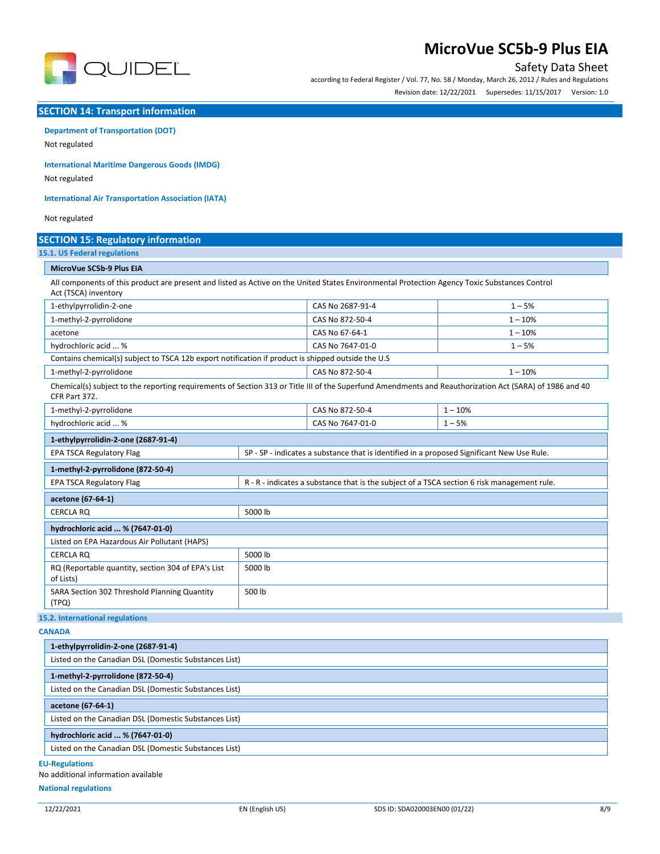

## Safety Data Sheet

according to Federal Register / Vol. 77, No. 58 / Monday, March 26, 2012 / Rules and Regulations Revision date: 12/22/2021 Supersedes: 11/15/2017 Version: 1.0

### **SECTION 14: Transport information**

# **Department of Transportation (DOT)**

Not regulated

**International Maritime Dangerous Goods (IMDG)**

Not regulated

**International Air Transportation Association (IATA)**

Not regulated

| <b>SECTION 15: Regulatory information</b>                                                                                                                                |         |                                                                                             |           |  |
|--------------------------------------------------------------------------------------------------------------------------------------------------------------------------|---------|---------------------------------------------------------------------------------------------|-----------|--|
| 15.1. US Federal regulations                                                                                                                                             |         |                                                                                             |           |  |
| MicroVue SC5b-9 Plus EIA                                                                                                                                                 |         |                                                                                             |           |  |
| All components of this product are present and listed as Active on the United States Environmental Protection Agency Toxic Substances Control<br>Act (TSCA) inventory    |         |                                                                                             |           |  |
| 1-ethylpyrrolidin-2-one                                                                                                                                                  |         | CAS No 2687-91-4                                                                            | $1 - 5%$  |  |
| 1-methyl-2-pyrrolidone                                                                                                                                                   |         | CAS No 872-50-4                                                                             | $1 - 10%$ |  |
| acetone                                                                                                                                                                  |         | CAS No 67-64-1                                                                              | $1 - 10%$ |  |
| hydrochloric acid  %                                                                                                                                                     |         | CAS No 7647-01-0                                                                            | $1 - 5%$  |  |
| Contains chemical(s) subject to TSCA 12b export notification if product is shipped outside the U.S                                                                       |         |                                                                                             |           |  |
| 1-methyl-2-pyrrolidone                                                                                                                                                   |         |                                                                                             | $1 - 10%$ |  |
| Chemical(s) subject to the reporting requirements of Section 313 or Title III of the Superfund Amendments and Reauthorization Act (SARA) of 1986 and 40<br>CFR Part 372. |         |                                                                                             |           |  |
| 1-methyl-2-pyrrolidone                                                                                                                                                   |         | CAS No 872-50-4                                                                             | $1 - 10%$ |  |
| hydrochloric acid  %                                                                                                                                                     |         |                                                                                             | $1 - 5%$  |  |
| 1-ethylpyrrolidin-2-one (2687-91-4)                                                                                                                                      |         |                                                                                             |           |  |
| <b>EPA TSCA Regulatory Flag</b>                                                                                                                                          |         | SP - SP - indicates a substance that is identified in a proposed Significant New Use Rule.  |           |  |
| 1-methyl-2-pyrrolidone (872-50-4)                                                                                                                                        |         |                                                                                             |           |  |
| <b>EPA TSCA Regulatory Flag</b>                                                                                                                                          |         | R - R - indicates a substance that is the subject of a TSCA section 6 risk management rule. |           |  |
| acetone (67-64-1)                                                                                                                                                        |         |                                                                                             |           |  |
| <b>CERCLA RO</b>                                                                                                                                                         | 5000 lb |                                                                                             |           |  |
| hydrochloric acid  % (7647-01-0)                                                                                                                                         |         |                                                                                             |           |  |
| Listed on EPA Hazardous Air Pollutant (HAPS)                                                                                                                             |         |                                                                                             |           |  |
| <b>CERCLA RO</b>                                                                                                                                                         | 5000 lb |                                                                                             |           |  |
| RQ (Reportable quantity, section 304 of EPA's List<br>of Lists)                                                                                                          | 5000 lb |                                                                                             |           |  |
| SARA Section 302 Threshold Planning Quantity<br>(TPQ)                                                                                                                    | 500 lb  |                                                                                             |           |  |

**15.2. International regulations**

**CANADA**

| 1-ethylpyrrolidin-2-one (2687-91-4)                   |  |
|-------------------------------------------------------|--|
| Listed on the Canadian DSL (Domestic Substances List) |  |
| 1-methyl-2-pyrrolidone (872-50-4)                     |  |
| Listed on the Canadian DSL (Domestic Substances List) |  |
| acetone (67-64-1)                                     |  |
| Listed on the Canadian DSL (Domestic Substances List) |  |
| hydrochloric acid  % (7647-01-0)                      |  |
| Listed on the Canadian DSL (Domestic Substances List) |  |
| :II Poquintions                                       |  |

**EU-Regulations**

No additional information available

**National regulations**